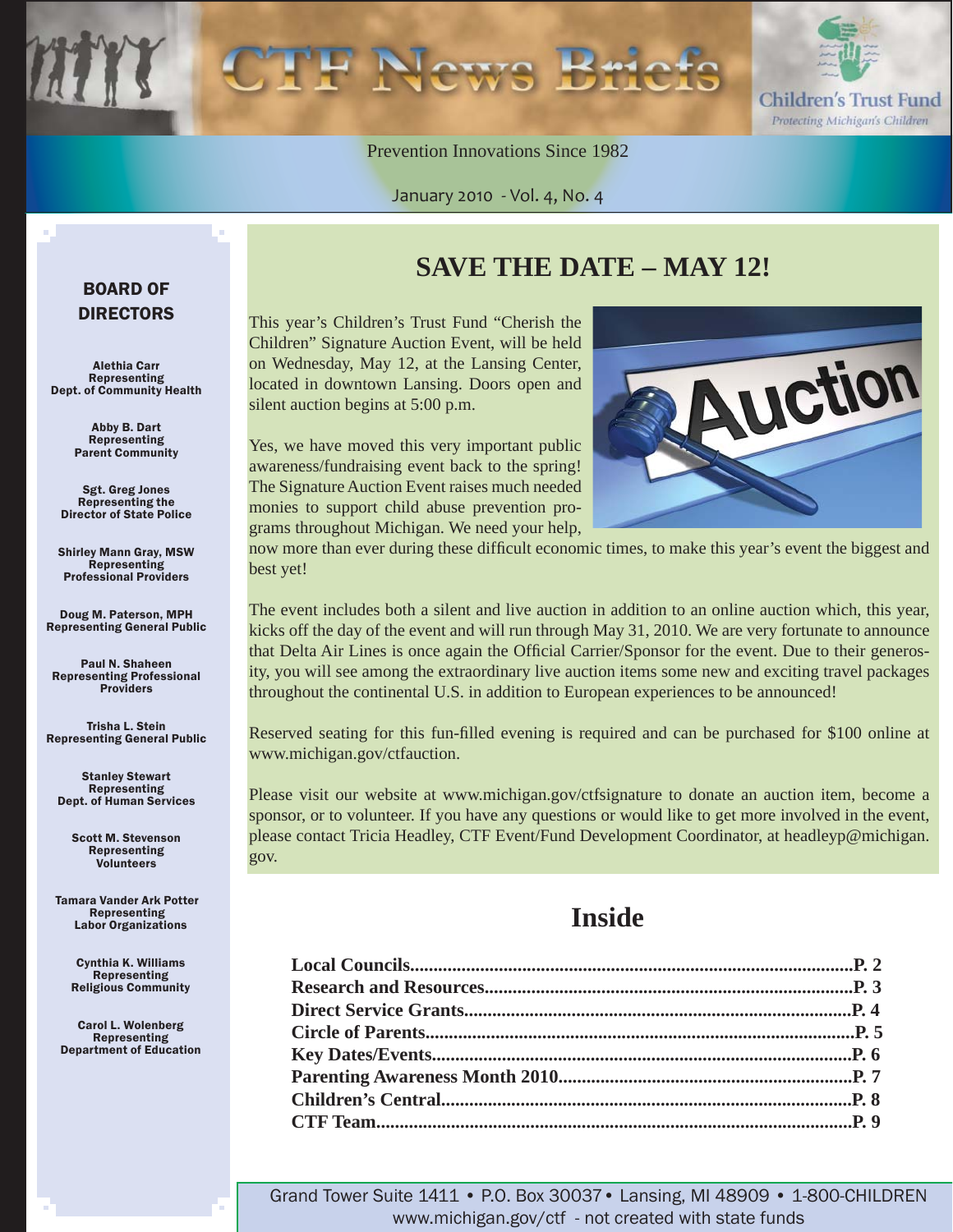

Prevention Innovations Since 1982

January 2010 - Vol. 4, No. 4

#### BOARD OF DIRECTORS

Alethia Carr Representing Dept. of Community Health

> Abby B. Dart Representing Parent Community

Sgt. Greg Jones Representing the Director of State Police

Shirley Mann Gray, MSW **Representing** Professional Providers

Doug M. Paterson, MPH Representing General Public

Paul N. Shaheen Representing Professional **Providers** 

Trisha L. Stein Representing General Public

Stanley Stewart Representing Dept. of Human Services

Scott M. Stevenson Representing Volunteers

Tamara Vander Ark Potter Representing Labor Organizations

> Cynthia K. Williams Representing Religious Community

Carol L. Wolenberg Representing Department of Education

### **SAVE THE DATE – MAY 12!**

This year's Children's Trust Fund "Cherish the Children" Signature Auction Event, will be held on Wednesday, May 12, at the Lansing Center, located in downtown Lansing. Doors open and silent auction begins at 5:00 p.m.

Yes, we have moved this very important public awareness/fundraising event back to the spring! The Signature Auction Event raises much needed monies to support child abuse prevention programs throughout Michigan. We need your help,



now more than ever during these difficult economic times, to make this year's event the biggest and best yet!

The event includes both a silent and live auction in addition to an online auction which, this year, kicks off the day of the event and will run through May 31, 2010. We are very fortunate to announce that Delta Air Lines is once again the Official Carrier/Sponsor for the event. Due to their generosity, you will see among the extraordinary live auction items some new and exciting travel packages throughout the continental U.S. in addition to European experiences to be announced!

Reserved seating for this fun-filled evening is required and can be purchased for \$100 online at www.michigan.gov/ctfauction.

Please visit our website at www.michigan.gov/ctfsignature to donate an auction item, become a sponsor, or to volunteer. If you have any questions or would like to get more involved in the event, [please contact Tricia Headley, CTF Event/Fund Development Coordinator, at headleyp@michigan.](mailto:headleyp@michigan.gov) gov.

### **Inside**

Grand Tower Suite 1411 • P.O. Box 30037• Lansing, MI 48909 • 1-800-CHILDREN www.michigan.gov/ctf - not created with state funds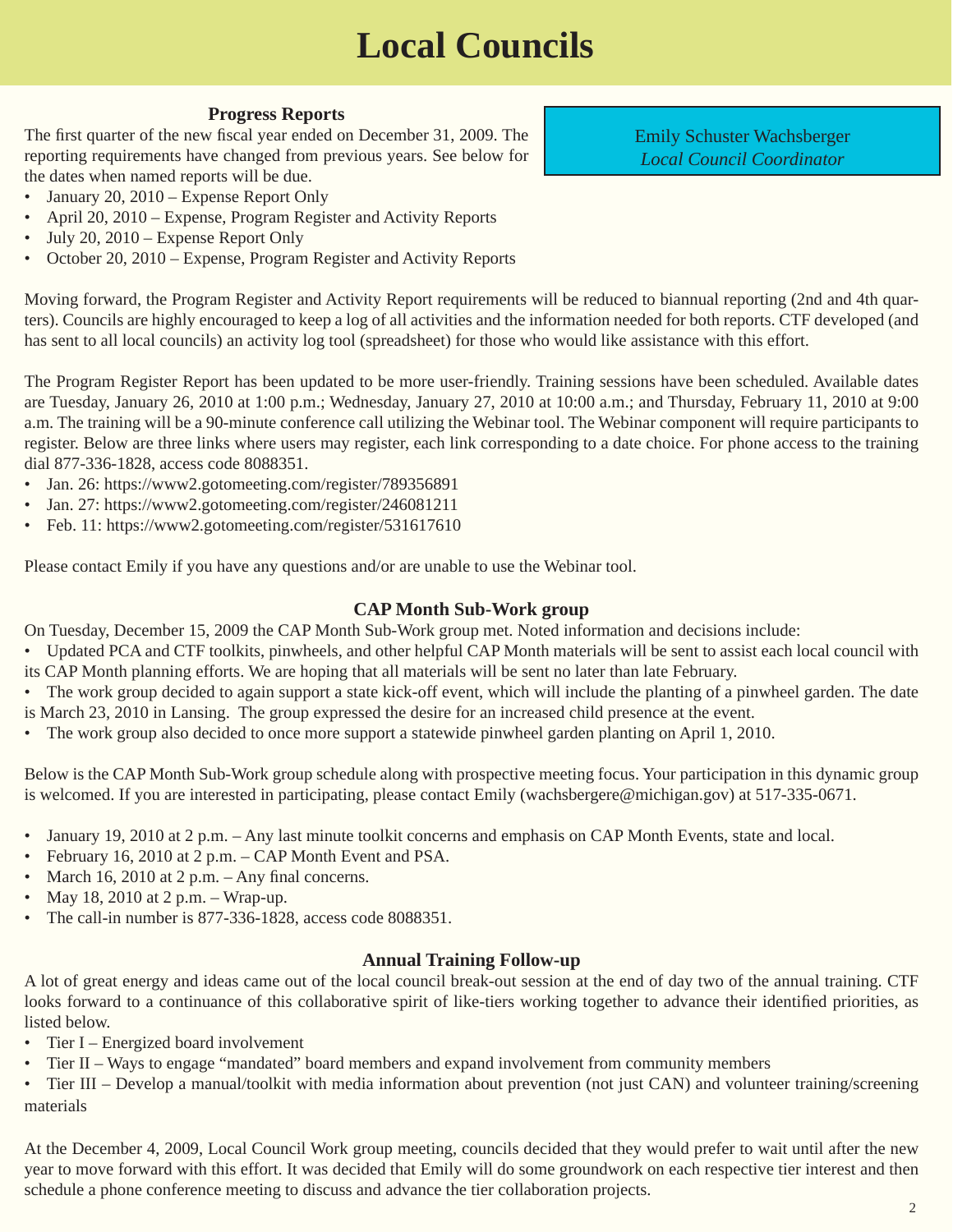# **Local Councils**

#### **Progress Reports**

<span id="page-1-0"></span>The first quarter of the new fiscal year ended on December 31, 2009. The reporting requirements have changed from previous years. See below for the dates when named reports will be due.

- January 20, 2010 Expense Report Only
- April 20, 2010 Expense, Program Register and Activity Reports
- July 20, 2010 Expense Report Only
- October 20, 2010 Expense, Program Register and Activity Reports

Moving forward, the Program Register and Activity Report requirements will be reduced to biannual reporting (2nd and 4th quarters). Councils are highly encouraged to keep a log of all activities and the information needed for both reports. CTF developed (and has sent to all local councils) an activity log tool (spreadsheet) for those who would like assistance with this effort.

The Program Register Report has been updated to be more user-friendly. Training sessions have been scheduled. Available dates are Tuesday, January 26, 2010 at 1:00 p.m.; Wednesday, January 27, 2010 at 10:00 a.m.; and Thursday, February 11, 2010 at 9:00 a.m. The training will be a 90-minute conference call utilizing the Webinar tool. The Webinar component will require participants to register. Below are three links where users may register, each link corresponding to a date choice. For phone access to the training dial 877-336-1828, access code 8088351.

- Jan. 26: https://www2.gotomeeting.com/register/789356891
- Jan. 27: [https://www2.gotomeeting.com/register/246081211](https://www2.gotomeeting.com/register/531617610)
- Feb. 11: [https://www2.gotomeeting.com/register/531617610](https://www2.gotomeeting.com/register/246081211)

Please contact Emily if you have any questions and/or are unable to use the Webinar tool.

#### **CAP Month Sub-Work group**

On Tuesday, December 15, 2009 the CAP Month Sub-Work group met. Noted information and decisions include:

- Updated PCA and CTF toolkits, pinwheels, and other helpful CAP Month materials will be sent to assist each local council with its CAP Month planning efforts. We are hoping that all materials will be sent no later than late February.
- The work group decided to again support a state kick-off event, which will include the planting of a pinwheel garden. The date
- is March 23, 2010 in Lansing. The group expressed the desire for an increased child presence at the event.
- The work group also decided to once more support a statewide pinwheel garden planting on April 1, 2010.

Below is the CAP Month Sub-Work group schedule along with prospective meeting focus. Your participation in this dynamic group is welcomed. If you are interested in participating, please contact Emily (wachsbergere@michigan.gov) at 517-335-0671.

- January 19, 2010 at 2 p.m. Any last minute toolkit concerns and emphasis on CAP Month Events, state and local.
- February 16, 2010 at 2 p.m. CAP Month Event and PSA.
- March 16, 2010 at 2 p.m.  $-$  Any final concerns.
- May 18, 2010 at 2 p.m. Wrap-up.
- The call-in number is 877-336-1828, access code 8088351.

#### **Annual Training Follow-up**

A lot of great energy and ideas came out of the local council break-out session at the end of day two of the annual training. CTF looks forward to a continuance of this collaborative spirit of like-tiers working together to advance their identified priorities, as listed below.

- Tier I Energized board involvement
- Tier II Ways to engage "mandated" board members and expand involvement from community members

• Tier III – Develop a manual/toolkit with media information about prevention (not just CAN) and volunteer training/screening materials

At the December 4, 2009, Local Council Work group meeting, councils decided that they would prefer to wait until after the new year to move forward with this effort. It was decided that Emily will do some groundwork on each respective tier interest and then schedule a phone conference meeting to discuss and advance the tier collaboration projects.

Emily Schuster Wachsberger *Local Council Coordinator*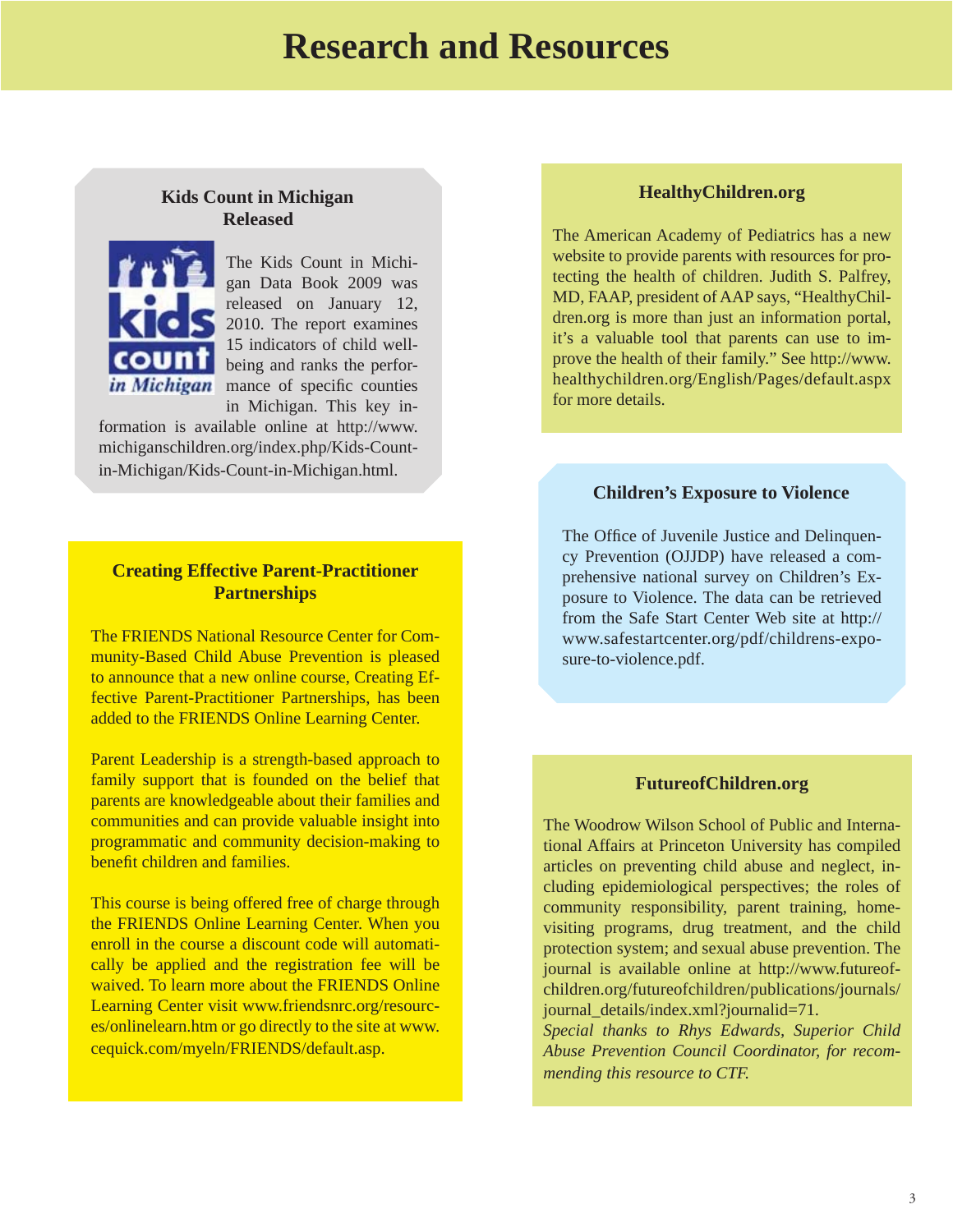### **Research and Resources**

#### <span id="page-2-0"></span>**Kids Count in Michigan Released**



The Kids Count in Michigan Data Book 2009 was released on January 12, 2010. The report examines 15 indicators of child wellbeing and ranks the perforin Michigan mance of specific counties in Michigan. This key in-

[formation is available online at http://www.](http://www.michiganschildren.org/index.php/Kids-Count-in-Michigan/Kids-Count-in-Michigan.html) michiganschildren.org/index.php/Kids-Countin-Michigan/Kids-Count-in-Michigan.html.

#### **Creating Effective Parent-Practitioner Partnerships**

The FRIENDS National Resource Center for Community-Based Child Abuse Prevention is pleased to announce that a new online course, Creating Effective Parent-Practitioner Partnerships, has been added to the FRIENDS Online Learning Center.

Parent Leadership is a strength-based approach to family support that is founded on the belief that parents are knowledgeable about their families and communities and can provide valuable insight into programmatic and community decision-making to benefit children and families.

This course is being offered free of charge through the FRIENDS Online Learning Center. When you enroll in the course a discount code will automatically be applied and the registration fee will be waived. To learn more about the FRIENDS Online Learning Center visit www.friendsnrc.org/resourc[es/onlinelearn.htm or go directly to the site at www.](www.friendsnrc.org/resources/onlinelearn.htm) cequick.com/myeln/FRIENDS/default.asp.

#### **HealthyChildren.org**

The American Academy of Pediatrics has a new website to provide parents with resources for protecting the health of children. Judith S. Palfrey, MD, FAAP, president of AAP says, "HealthyChildren.org is more than just an information portal, it's a valuable tool that parents can use to improve the health of their family." See http://www. [healthychildren.org/English/Pages/default.aspx](http://www.healthychildren.org/English/Pages/default.aspx)  for more details.

#### **Children's Exposure to Violence**

The Office of Juvenile Justice and Delinquency Prevention (OJJDP) have released a comprehensive national survey on Children's Exposure to Violence. The data can be retrieved [from the Safe Start Center Web site at http://](http://www.safestartcenter.org/pdf/childrens-exposure-to-violence.pdf) www.safestartcenter.org/pdf/childrens-exposure-to-violence.pdf.

#### **FutureofChildren.org**

The Woodrow Wilson School of Public and International Affairs at Princeton University has compiled articles on preventing child abuse and neglect, including epidemiological perspectives; the roles of community responsibility, parent training, homevisiting programs, drug treatment, and the child protection system; and sexual abuse prevention. The [journal is available online at http://www.futureof](http://www.futureofchildren.org/futureofchildren/publications/journals/journal_details/index.xml?journalid=71)children.org/futureofchildren/publications/journals/ journal\_details/index.xml?journalid=71.

*Special thanks to Rhys Edwards, Superior Child Abuse Prevention Council Coordinator, for recommending this resource to CTF.*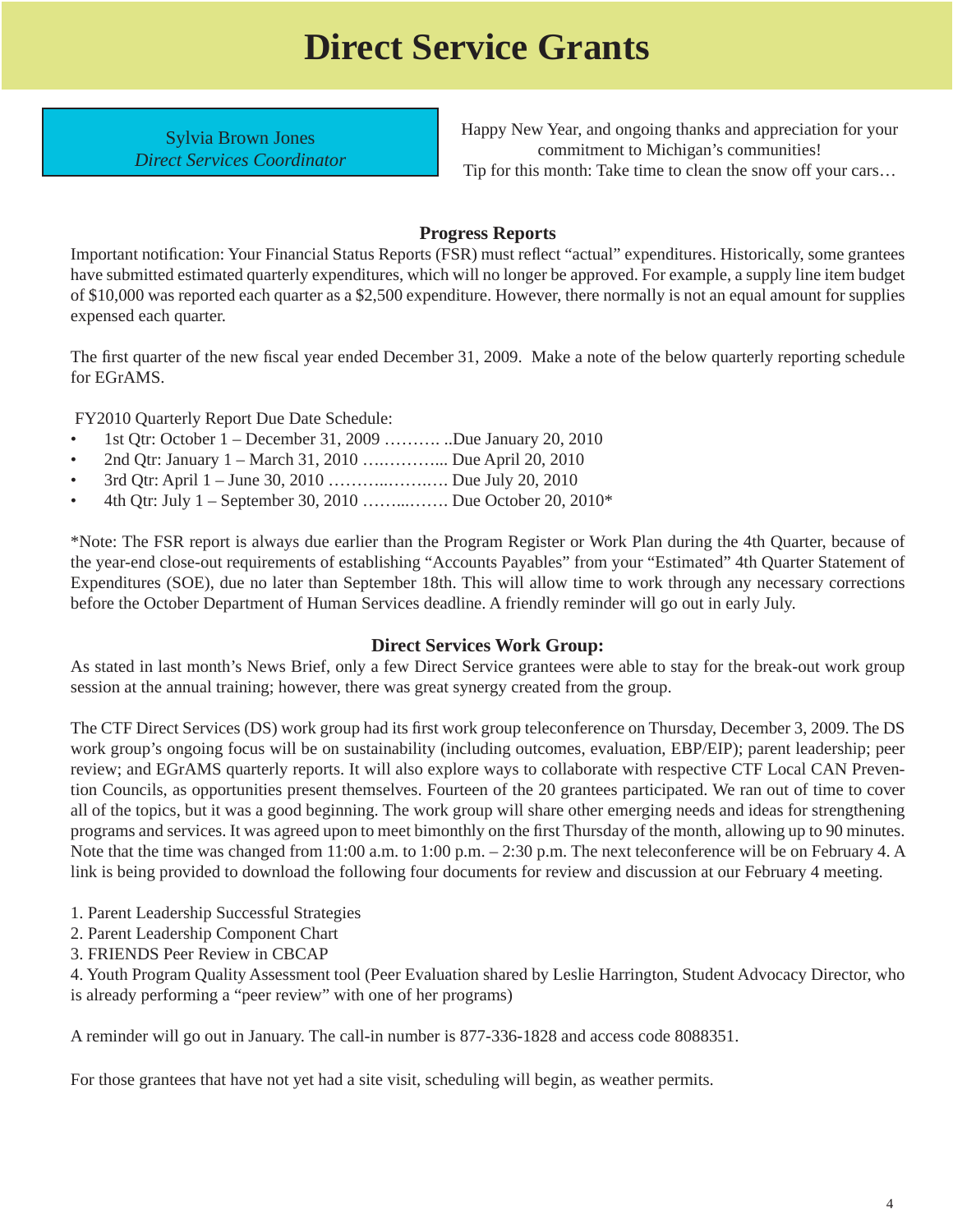# **Direct Service Grants**

<span id="page-3-0"></span>Sylvia Brown Jones *Direct Services Coordinator* Happy New Year, and ongoing thanks and appreciation for your commitment to Michigan's communities! Tip for this month: Take time to clean the snow off your cars…

#### **Progress Reports**

Important notification: Your Financial Status Reports (FSR) must reflect "actual" expenditures. Historically, some grantees have submitted estimated quarterly expenditures, which will no longer be approved. For example, a supply line item budget of \$10,000 was reported each quarter as a \$2,500 expenditure. However, there normally is not an equal amount for supplies expensed each quarter.

The first quarter of the new fiscal year ended December 31, 2009. Make a note of the below quarterly reporting schedule for EGrAMS.

FY2010 Quarterly Report Due Date Schedule:

- 1st Qtr: October  $1 -$  December 31, 2009 ……….. ..Due January 20, 2010
- 2nd Qtr: January 1 March 31, 2010 ….………... Due April 20, 2010
- 3rd Qtr: April 1 June 30, 2010 ………..…….…. Due July 20, 2010
- 4th Qtr: July 1 September 30, 2010 ……...……. Due October 20, 2010\*

\*Note: The FSR report is always due earlier than the Program Register or Work Plan during the 4th Quarter, because of the year-end close-out requirements of establishing "Accounts Payables" from your "Estimated" 4th Quarter Statement of Expenditures (SOE), due no later than September 18th. This will allow time to work through any necessary corrections before the October Department of Human Services deadline. A friendly reminder will go out in early July.

#### **Direct Services Work Group:**

As stated in last month's News Brief, only a few Direct Service grantees were able to stay for the break-out work group session at the annual training; however, there was great synergy created from the group.

The CTF Direct Services (DS) work group had its first work group teleconference on Thursday, December 3, 2009. The DS work group's ongoing focus will be on sustainability (including outcomes, evaluation, EBP/EIP); parent leadership; peer review; and EGrAMS quarterly reports. It will also explore ways to collaborate with respective CTF Local CAN Prevention Councils, as opportunities present themselves. Fourteen of the 20 grantees participated. We ran out of time to cover all of the topics, but it was a good beginning. The work group will share other emerging needs and ideas for strengthening programs and services. It was agreed upon to meet bimonthly on the first Thursday of the month, allowing up to 90 minutes. Note that the time was changed from 11:00 a.m. to 1:00 p.m. – 2:30 p.m. The next teleconference will be on February 4. A link is being provided to download the following four documents for review and discussion at our February 4 meeting.

- [1. Parent Leadership Successful Strategies](www.michigan.gov/documents/ctf/Parent_Leadership_-_Successful_Strategies_307563_7.pdf)
- [2. Parent Leadership Component Chart](www.michigan.gov/documents/ctf/Parent_Leadership_Components_Chart_307565_7.pdf)
- [3. FRIENDS Peer Review in CBCAP](www.michigan.gov/documents/ctf/FRIENDS_Peer_Review_in_CBCAP_307558_7.pdf)

[4. Youth Program Quality Assessment tool](www.michigan.gov/documents/ctf/YouthPQA_307566_7.pdf) (Peer Evaluation shared by Leslie Harrington, Student Advocacy Director, who is already performing a "peer review" with one of her programs)

A reminder will go out in January. The call-in number is 877-336-1828 and access code 8088351.

For those grantees that have not yet had a site visit, scheduling will begin, as weather permits.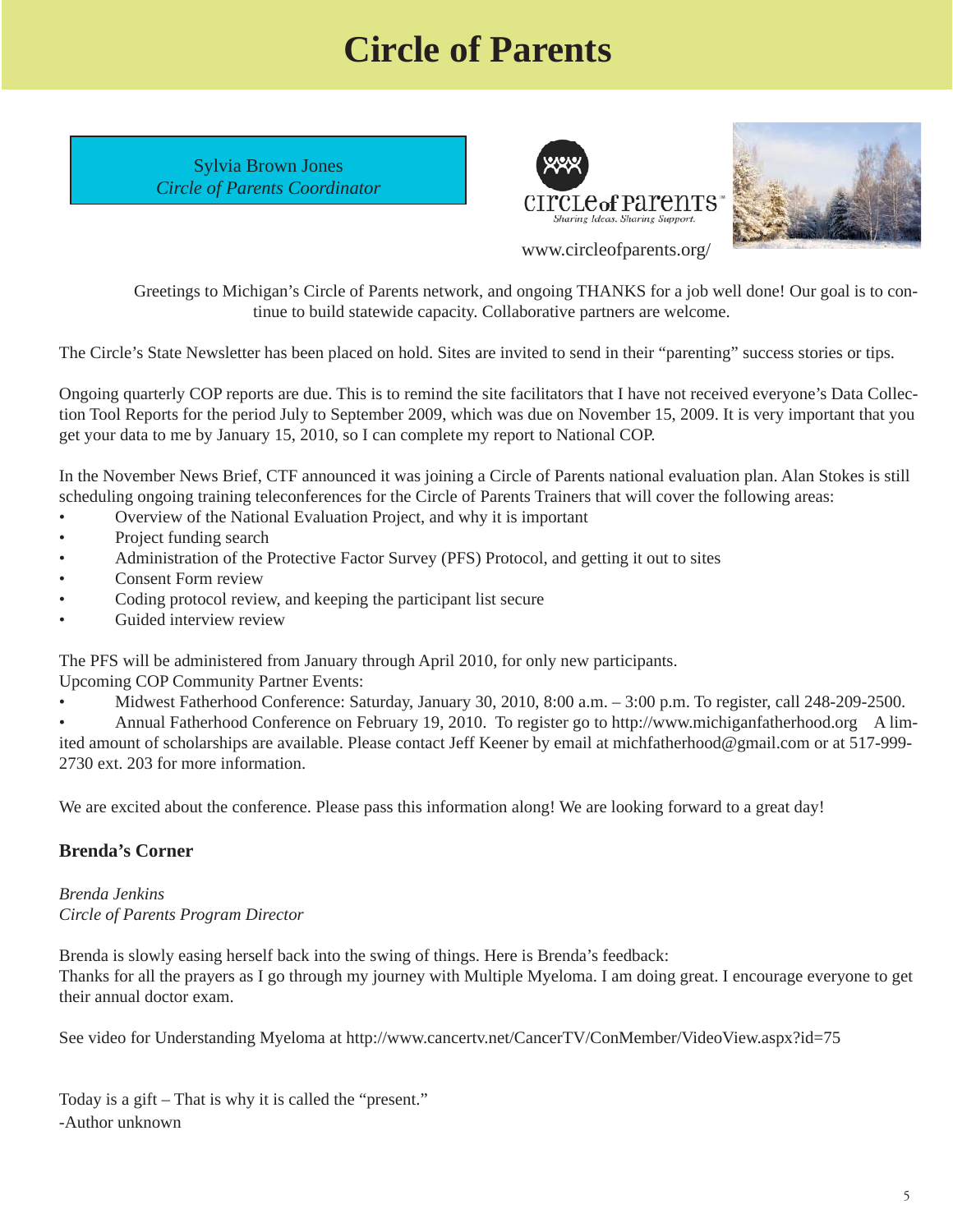# **Circle of Parents**

<span id="page-4-0"></span>Sylvia Brown Jones *Circle of Parents Coordinator*





 Greetings to Michigan's Circle of Parents network, and ongoing THANKS for a job well done! Our goal is to continue to build statewide capacity. Collaborative partners are welcome.

The Circle's State Newsletter has been placed on hold. Sites are invited to send in their "parenting" success stories or tips.

Ongoing quarterly COP reports are due. This is to remind the site facilitators that I have not received everyone's Data Collection Tool Reports for the period July to September 2009, which was due on November 15, 2009. It is very important that you get your data to me by January 15, 2010, so I can complete my report to National COP.

In the November News Brief, CTF announced it was joining a Circle of Parents national evaluation plan. Alan Stokes is still scheduling ongoing training teleconferences for the Circle of Parents Trainers that will cover the following areas:

- Overview of the National Evaluation Project, and why it is important
- Project funding search
- Administration of the Protective Factor Survey (PFS) Protocol, and getting it out to sites
- Consent Form review
- Coding protocol review, and keeping the participant list secure
- Guided interview review

The PFS will be administered from January through April 2010, for only new participants.

Upcoming COP Community Partner Events:

• Midwest Fatherhood Conference: Saturday, January 30, 2010, 8:00 a.m. – 3:00 p.m. To register, call 248-209-2500.

• Annual Fatherhood Conference on February 19, 2010. To register go to http://www.michiganfatherhood.org A limited amount of scholarships are available. Please contact Jeff Keener by email at michfatherhood@gmail.com or at 517-999- 2730 ext. 203 for more information.

We are excited about the conference. Please pass this information along! We are looking forward to a great day!

#### **Brenda's Corner**

*Brenda Jenkins Circle of Parents Program Director* 

Brenda is slowly easing herself back into the swing of things. Here is Brenda's feedback: Thanks for all the prayers as I go through my journey with Multiple Myeloma. I am doing great. I encourage everyone to get their annual doctor exam.

See video for Understanding Myeloma at http://www.cancertv.net/CancerTV/ConMember/VideoView.aspx?id=75

Today is a gift – That is why it is called the "present." -Author unknown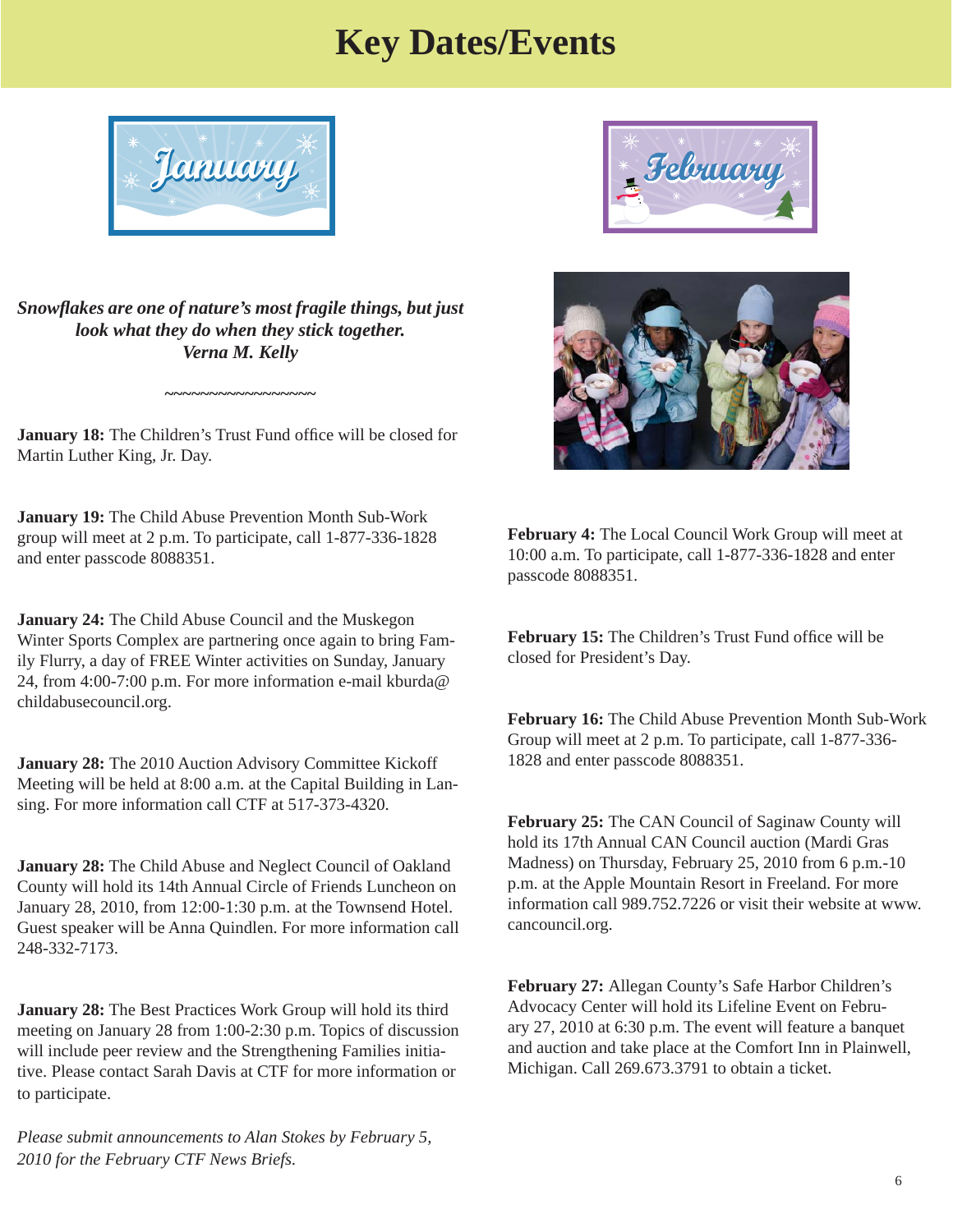### **Key Dates/Events**

<span id="page-5-0"></span>

*Snowfl akes are one of nature's most fragile things, but just look what they do when they stick together. Verna M. Kelly*

**January 18:** The Children's Trust Fund office will be closed for Martin Luther King, Jr. Day.

**~~~~~~~~~~~~~~~~~**

**January 19:** The Child Abuse Prevention Month Sub-Work group will meet at 2 p.m. To participate, call 1-877-336-1828 and enter passcode 8088351.

**January 24:** The Child Abuse Council and the Muskegon Winter Sports Complex are partnering once again to bring Family Flurry, a day of FREE Winter activities on Sunday, January [24, from 4:00-7:00 p.m. For more information e-mail kburda@](mailto:kburda@childabusecouncil.org) childabusecouncil.org.

**January 28:** The 2010 Auction Advisory Committee Kickoff Meeting will be held at 8:00 a.m. at the Capital Building in Lansing. For more information call CTF at 517-373-4320.

**January 28:** The Child Abuse and Neglect Council of Oakland County will hold its 14th Annual Circle of Friends Luncheon on January 28, 2010, from 12:00-1:30 p.m. at the Townsend Hotel. Guest speaker will be Anna Quindlen. For more information call 248-332-7173.

**January 28:** The Best Practices Work Group will hold its third meeting on January 28 from 1:00-2:30 p.m. Topics of discussion will include peer review and the Strengthening Families initiative. Please contact Sarah Davis at CTF for more information or to participate.

*Please submit announcements to Alan Stokes by February 5, 2010 for the February CTF News Briefs.* 





**February 4:** The Local Council Work Group will meet at 10:00 a.m. To participate, call 1-877-336-1828 and enter passcode 8088351.

February 15: The Children's Trust Fund office will be closed for President's Day.

**February 16:** The Child Abuse Prevention Month Sub-Work Group will meet at 2 p.m. To participate, call 1-877-336- 1828 and enter passcode 8088351.

**February 25:** The CAN Council of Saginaw County will hold its 17th Annual CAN Council auction (Mardi Gras Madness) on Thursday, February 25, 2010 from 6 p.m.-10 p.m. at the Apple Mountain Resort in Freeland. For more information call 989.752.7226 or visit their website at www. cancouncil.org.

**February 27:** Allegan County's Safe Harbor Children's Advocacy Center will hold its Lifeline Event on February 27, 2010 at 6:30 p.m. The event will feature a banquet and auction and take place at the Comfort Inn in Plainwell, Michigan. Call 269.673.3791 to obtain a ticket.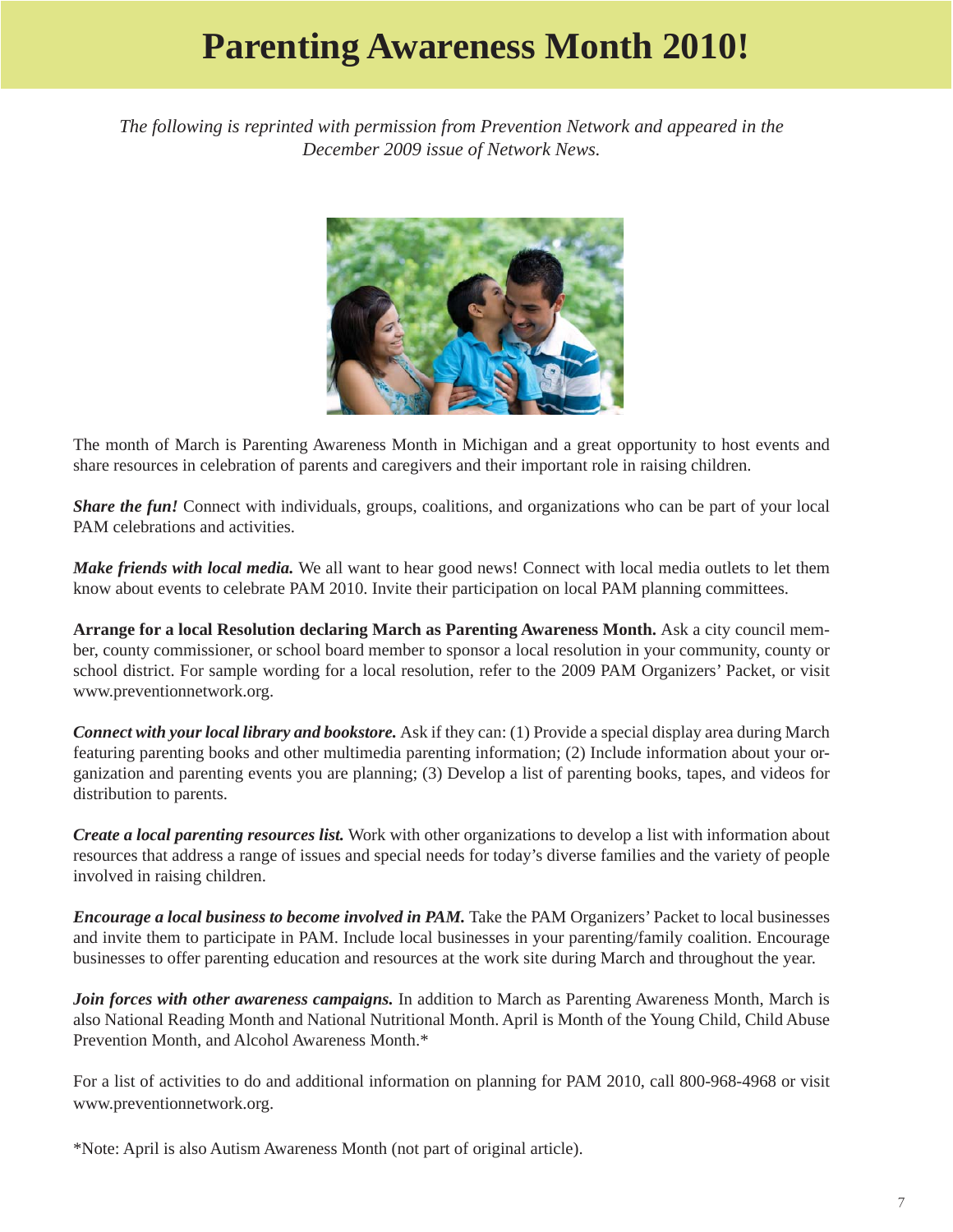## **Parenting Awareness Month 2010!**

<span id="page-6-0"></span>*The following is reprinted with permission from Prevention Network and appeared in the December 2009 issue of Network News.* 



The month of March is Parenting Awareness Month in Michigan and a great opportunity to host events and share resources in celebration of parents and caregivers and their important role in raising children.

*Share the fun!* Connect with individuals, groups, coalitions, and organizations who can be part of your local PAM celebrations and activities.

*Make friends with local media.* We all want to hear good news! Connect with local media outlets to let them know about events to celebrate PAM 2010. Invite their participation on local PAM planning committees.

**Arrange for a local Resolution declaring March as Parenting Awareness Month.** Ask a city council member, county commissioner, or school board member to sponsor a local resolution in your community, county or school district. For sample wording for a local resolution, refer to the 2009 PAM Organizers' Packet, or visit www.preventionnetwork.org.

*Connect with your local library and bookstore.* Ask if they can: (1) Provide a special display area during March featuring parenting books and other multimedia parenting information; (2) Include information about your organization and parenting events you are planning; (3) Develop a list of parenting books, tapes, and videos for distribution to parents.

*Create a local parenting resources list.* Work with other organizations to develop a list with information about resources that address a range of issues and special needs for today's diverse families and the variety of people involved in raising children.

*Encourage a local business to become involved in PAM.* Take the PAM Organizers' Packet to local businesses and invite them to participate in PAM. Include local businesses in your parenting/family coalition. Encourage businesses to offer parenting education and resources at the work site during March and throughout the year.

*Join forces with other awareness campaigns.* In addition to March as Parenting Awareness Month, March is also National Reading Month and National Nutritional Month. April is Month of the Young Child, Child Abuse Prevention Month, and Alcohol Awareness Month.\*

For a list of activities to do and additional information on planning for PAM 2010, call 800-968-4968 or visit www.preventionnetwork.org.

\*Note: April is also Autism Awareness Month (not part of original article).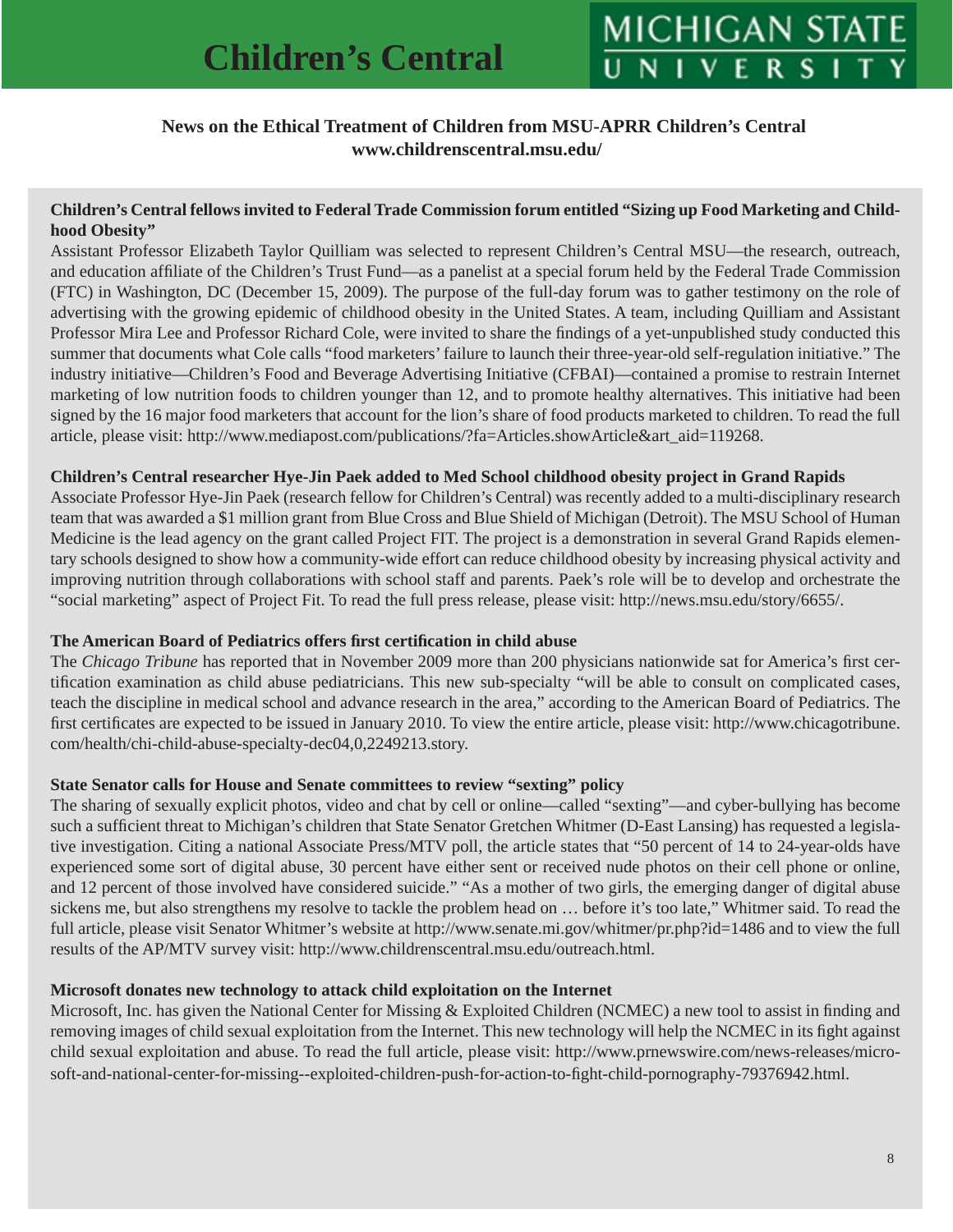#### <span id="page-7-0"></span> **News on the Ethical Treatment of Children from MSU-APRR Children's Central www.childrenscentral.msu.edu/**

#### **Children's Central fellows invited to Federal Trade Commission forum entitled "Sizing up Food Marketing and Childhood Obesity"**

Assistant Professor Elizabeth Taylor Quilliam was selected to represent Children's Central MSU—the research, outreach, and education affiliate of the Children's Trust Fund—as a panelist at a special forum held by the Federal Trade Commission (FTC) in Washington, DC (December 15, 2009). The purpose of the full-day forum was to gather testimony on the role of advertising with the growing epidemic of childhood obesity in the United States. A team, including Quilliam and Assistant Professor Mira Lee and Professor Richard Cole, were invited to share the findings of a yet-unpublished study conducted this summer that documents what Cole calls "food marketers' failure to launch their three-year-old self-regulation initiative." The industry initiative—Children's Food and Beverage Advertising Initiative (CFBAI)—contained a promise to restrain Internet marketing of low nutrition foods to children younger than 12, and to promote healthy alternatives. This initiative had been signed by the 16 major food marketers that account for the lion's share of food products marketed to children. To read the full article, please visit: http://www.mediapost.com/publications/?fa=Articles.showArticle&art\_aid=119268.

#### **Children's Central researcher Hye-Jin Paek added to Med School childhood obesity project in Grand Rapids**

Associate Professor Hye-Jin Paek (research fellow for Children's Central) was recently added to a multi-disciplinary research team that was awarded a \$1 million grant from Blue Cross and Blue Shield of Michigan (Detroit). The MSU School of Human Medicine is the lead agency on the grant called Project FIT. The project is a demonstration in several Grand Rapids elementary schools designed to show how a community-wide effort can reduce childhood obesity by increasing physical activity and improving nutrition through collaborations with school staff and parents. Paek's role will be to develop and orchestrate the "social marketing" aspect of Project Fit. To read the full press release, please visit: http://news.msu.edu/story/6655/.

#### **The American Board of Pediatrics offers first certification in child abuse**

The *Chicago Tribune* has reported that in November 2009 more than 200 physicians nationwide sat for America's first certification examination as child abuse pediatricians. This new sub-specialty "will be able to consult on complicated cases, teach the discipline in medical school and advance research in the area," according to the American Board of Pediatrics. The first certificates are expected to be issued in January 2010. To view the entire article, please visit: http://www.chicagotribune. com/health/chi-child-abuse-specialty-dec04,0,2249213.story.

#### **State Senator calls for House and Senate committees to review "sexting" policy**

The sharing of sexually explicit photos, video and chat by cell or online—called "sexting"—and cyber-bullying has become such a sufficient threat to Michigan's children that State Senator Gretchen Whitmer (D-East Lansing) has requested a legislative investigation. Citing a national Associate Press/MTV poll, the article states that "50 percent of 14 to 24-year-olds have experienced some sort of digital abuse, 30 percent have either sent or received nude photos on their cell phone or online, and 12 percent of those involved have considered suicide." "As a mother of two girls, the emerging danger of digital abuse sickens me, but also strengthens my resolve to tackle the problem head on … before it's too late," Whitmer said. To read the full article, please visit Senator Whitmer's website at http://www.senate.mi.gov/whitmer/pr.php?id=1486 and to view the full results of the AP/MTV survey visit: http://www.childrenscentral.msu.edu/outreach.html.

#### **Microsoft donates new technology to attack child exploitation on the Internet**

Microsoft, Inc. has given the National Center for Missing  $&$  Exploited Children (NCMEC) a new tool to assist in finding and removing images of child sexual exploitation from the Internet. This new technology will help the NCMEC in its fight against [child sexual exploitation and abuse. To read the full article, please visit: http://www.prnewswire.com/news-releases/micro](http://www.prnewswire.com/news-releases/microsoft-and-national-center-for-missing--exploited-children-push-for-action-to-fight-child-pornography-79376942.html)soft-and-national-center-for-missing--exploited-children-push-for-action-to-fi ght-child-pornography-79376942.html.